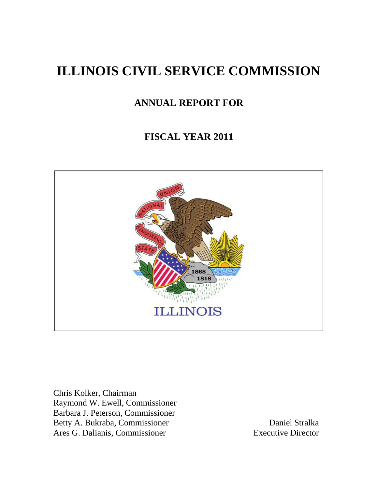# **ILLINOIS CIVIL SERVICE COMMISSION**

## **ANNUAL REPORT FOR**

## **FISCAL YEAR 2011**



Chris Kolker, Chairman Raymond W. Ewell, Commissioner Barbara J. Peterson, Commissioner Betty A. Bukraba, Commissioner Daniel Stralka Ares G. Dalianis, Commissioner Executive Director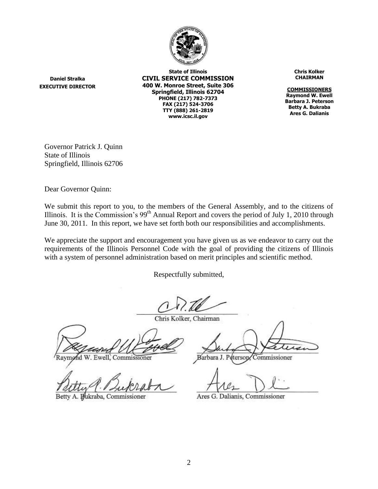

**Daniel Stralka EXECUTIVE DIRECTOR**

**State of Illinois CIVIL SERVICE COMMISSION 400 W. Monroe Street, Suite 306 Springfield, Illinois 62704 PHONE (217) 782-7373 FAX (217) 524-3706 TTY (888) 261-2819 www.icsc.il.gov**

**Chris Kolker CHAIRMAN**

**COMMISSIONERS Raymond W. Ewell Barbara J. Peterson Betty A. Bukraba Ares G. Dalianis**

Governor Patrick J. Quinn State of Illinois Springfield, Illinois 62706

Dear Governor Quinn:

We submit this report to you, to the members of the General Assembly, and to the citizens of Illinois. It is the Commission's  $99<sup>th</sup>$  Annual Report and covers the period of July 1, 2010 through June 30, 2011. In this report, we have set forth both our responsibilities and accomplishments.

We appreciate the support and encouragement you have given us as we endeavor to carry out the requirements of the Illinois Personnel Code with the goal of providing the citizens of Illinois with a system of personnel administration based on merit principles and scientific method.

Respectfully submitted,

Chris Kolker, Chairman

Commissioner Raymond W. Ewell.

Betty A. Bukraba, Commissioner

*c*ommissioner

Barbara éterson

Ares G. Dalianis, Commissioner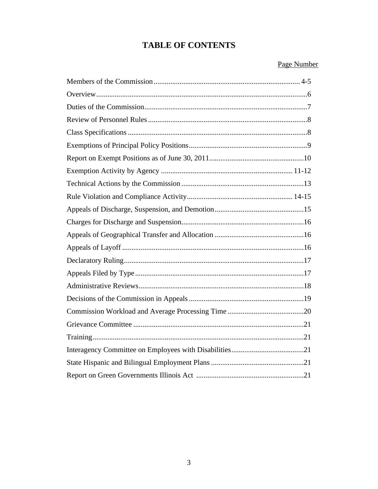## **TABLE OF CONTENTS**

## Page Number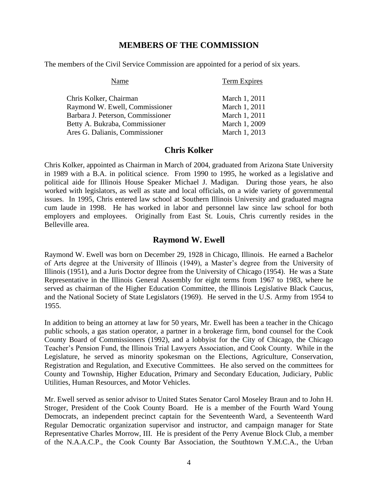#### **MEMBERS OF THE COMMISSION**

The members of the Civil Service Commission are appointed for a period of six years.

| Name                              | Term Expires  |
|-----------------------------------|---------------|
| Chris Kolker, Chairman            | March 1, 2011 |
| Raymond W. Ewell, Commissioner    | March 1, 2011 |
| Barbara J. Peterson, Commissioner | March 1, 2011 |
| Betty A. Bukraba, Commissioner    | March 1, 2009 |
| Ares G. Dalianis, Commissioner    | March 1, 2013 |

#### **Chris Kolker**

Chris Kolker, appointed as Chairman in March of 2004, graduated from Arizona State University in 1989 with a B.A. in political science. From 1990 to 1995, he worked as a legislative and political aide for Illinois House Speaker Michael J. Madigan. During those years, he also worked with legislators, as well as state and local officials, on a wide variety of governmental issues. In 1995, Chris entered law school at Southern Illinois University and graduated magna cum laude in 1998. He has worked in labor and personnel law since law school for both employers and employees. Originally from East St. Louis, Chris currently resides in the Belleville area.

#### **Raymond W. Ewell**

Raymond W. Ewell was born on December 29, 1928 in Chicago, Illinois. He earned a Bachelor of Arts degree at the University of Illinois (1949), a Master's degree from the University of Illinois (1951), and a Juris Doctor degree from the University of Chicago (1954). He was a State Representative in the Illinois General Assembly for eight terms from 1967 to 1983, where he served as chairman of the Higher Education Committee, the Illinois Legislative Black Caucus, and the National Society of State Legislators (1969). He served in the U.S. Army from 1954 to 1955.

In addition to being an attorney at law for 50 years, Mr. Ewell has been a teacher in the Chicago public schools, a gas station operator, a partner in a brokerage firm, bond counsel for the Cook County Board of Commissioners (1992), and a lobbyist for the City of Chicago, the Chicago Teacher's Pension Fund, the Illinois Trial Lawyers Association, and Cook County. While in the Legislature, he served as minority spokesman on the Elections, Agriculture, Conservation, Registration and Regulation, and Executive Committees. He also served on the committees for County and Township, Higher Education, Primary and Secondary Education, Judiciary, Public Utilities, Human Resources, and Motor Vehicles.

Mr. Ewell served as senior advisor to United States Senator Carol Moseley Braun and to John H. Stroger, President of the Cook County Board. He is a member of the Fourth Ward Young Democrats, an independent precinct captain for the Seventeenth Ward, a Seventeenth Ward Regular Democratic organization supervisor and instructor, and campaign manager for State Representative Charles Morrow, III. He is president of the Perry Avenue Block Club, a member of the N.A.A.C.P., the Cook County Bar Association, the Southtown Y.M.C.A., the Urban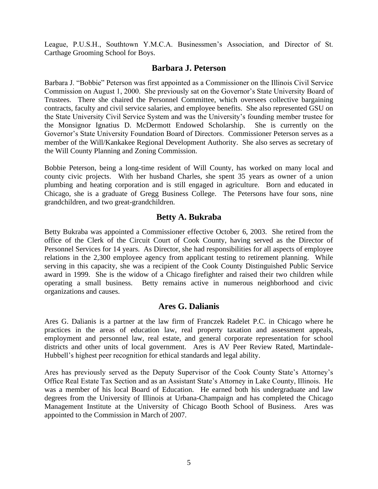League, P.U.S.H., Southtown Y.M.C.A. Businessmen's Association, and Director of St. Carthage Grooming School for Boys.

#### **Barbara J. Peterson**

Barbara J. "Bobbie" Peterson was first appointed as a Commissioner on the Illinois Civil Service Commission on August 1, 2000. She previously sat on the Governor's State University Board of Trustees. There she chaired the Personnel Committee, which oversees collective bargaining contracts, faculty and civil service salaries, and employee benefits. She also represented GSU on the State University Civil Service System and was the University's founding member trustee for the Monsignor Ignatius D. McDermott Endowed Scholarship. She is currently on the Governor's State University Foundation Board of Directors. Commissioner Peterson serves as a member of the Will/Kankakee Regional Development Authority. She also serves as secretary of the Will County Planning and Zoning Commission.

Bobbie Peterson, being a long-time resident of Will County, has worked on many local and county civic projects. With her husband Charles, she spent 35 years as owner of a union plumbing and heating corporation and is still engaged in agriculture. Born and educated in Chicago, she is a graduate of Gregg Business College. The Petersons have four sons, nine grandchildren, and two great-grandchildren.

#### **Betty A. Bukraba**

Betty Bukraba was appointed a Commissioner effective October 6, 2003. She retired from the office of the Clerk of the Circuit Court of Cook County, having served as the Director of Personnel Services for 14 years. As Director, she had responsibilities for all aspects of employee relations in the 2,300 employee agency from applicant testing to retirement planning. While serving in this capacity, she was a recipient of the Cook County Distinguished Public Service award in 1999. She is the widow of a Chicago firefighter and raised their two children while operating a small business. Betty remains active in numerous neighborhood and civic organizations and causes.

#### **Ares G. Dalianis**

Ares G. Dalianis is a partner at the law firm of Franczek Radelet P.C. in Chicago where he practices in the areas of education law, real property taxation and assessment appeals, employment and personnel law, real estate, and general corporate representation for school districts and other units of local government. Ares is AV Peer Review Rated, Martindale-Hubbell's highest peer recognition for ethical standards and legal ability.

Ares has previously served as the Deputy Supervisor of the Cook County State's Attorney's Office Real Estate Tax Section and as an Assistant State's Attorney in Lake County, Illinois. He was a member of his local Board of Education. He earned both his undergraduate and law degrees from the University of Illinois at Urbana-Champaign and has completed the Chicago Management Institute at the University of Chicago Booth School of Business. Ares was appointed to the Commission in March of 2007.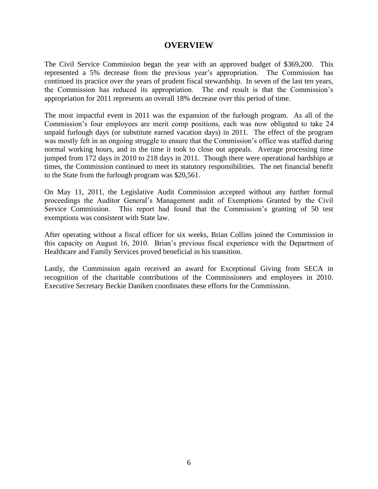#### **OVERVIEW**

The Civil Service Commission began the year with an approved budget of \$369,200. This represented a 5% decrease from the previous year's appropriation. The Commission has continued its practice over the years of prudent fiscal stewardship. In seven of the last ten years, the Commission has reduced its appropriation. The end result is that the Commission's appropriation for 2011 represents an overall 18% decrease over this period of time.

The most impactful event in 2011 was the expansion of the furlough program. As all of the Commission's four employees are merit comp positions, each was now obligated to take 24 unpaid furlough days (or substitute earned vacation days) in 2011. The effect of the program was mostly felt in an ongoing struggle to ensure that the Commission's office was staffed during normal working hours, and in the time it took to close out appeals. Average processing time jumped from 172 days in 2010 to 218 days in 2011. Though there were operational hardships at times, the Commission continued to meet its statutory responsibilities. The net financial benefit to the State from the furlough program was \$20,561.

On May 11, 2011, the Legislative Audit Commission accepted without any further formal proceedings the Auditor General's Management audit of Exemptions Granted by the Civil Service Commission. This report had found that the Commission's granting of 50 test exemptions was consistent with State law.

After operating without a fiscal officer for six weeks, Brian Collins joined the Commission in this capacity on August 16, 2010. Brian's previous fiscal experience with the Department of Healthcare and Family Services proved beneficial in his transition.

Lastly, the Commission again received an award for Exceptional Giving from SECA in recognition of the charitable contributions of the Commissioners and employees in 2010. Executive Secretary Beckie Daniken coordinates these efforts for the Commission.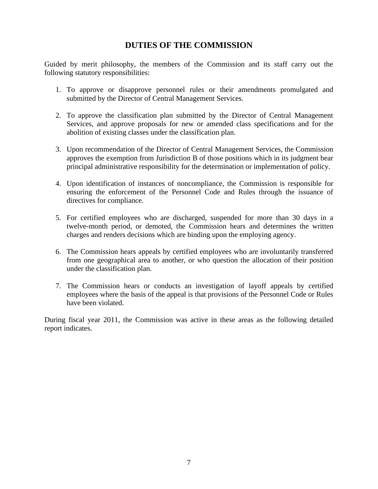## **DUTIES OF THE COMMISSION**

Guided by merit philosophy, the members of the Commission and its staff carry out the following statutory responsibilities:

- 1. To approve or disapprove personnel rules or their amendments promulgated and submitted by the Director of Central Management Services.
- 2. To approve the classification plan submitted by the Director of Central Management Services, and approve proposals for new or amended class specifications and for the abolition of existing classes under the classification plan.
- 3. Upon recommendation of the Director of Central Management Services, the Commission approves the exemption from Jurisdiction B of those positions which in its judgment bear principal administrative responsibility for the determination or implementation of policy.
- 4. Upon identification of instances of noncompliance, the Commission is responsible for ensuring the enforcement of the Personnel Code and Rules through the issuance of directives for compliance.
- 5. For certified employees who are discharged, suspended for more than 30 days in a twelve-month period, or demoted, the Commission hears and determines the written charges and renders decisions which are binding upon the employing agency.
- 6. The Commission hears appeals by certified employees who are involuntarily transferred from one geographical area to another, or who question the allocation of their position under the classification plan.
- 7. The Commission hears or conducts an investigation of layoff appeals by certified employees where the basis of the appeal is that provisions of the Personnel Code or Rules have been violated.

During fiscal year 2011, the Commission was active in these areas as the following detailed report indicates.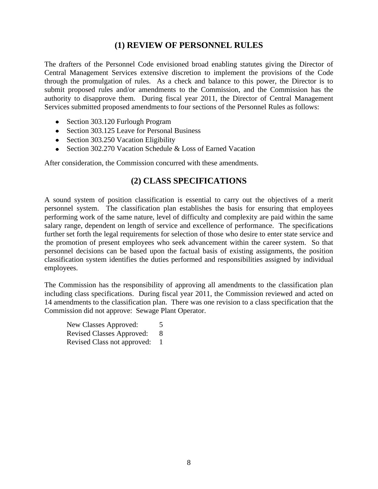### **(1) REVIEW OF PERSONNEL RULES**

The drafters of the Personnel Code envisioned broad enabling statutes giving the Director of Central Management Services extensive discretion to implement the provisions of the Code through the promulgation of rules. As a check and balance to this power, the Director is to submit proposed rules and/or amendments to the Commission, and the Commission has the authority to disapprove them. During fiscal year 2011, the Director of Central Management Services submitted proposed amendments to four sections of the Personnel Rules as follows:

- Section 303.120 Furlough Program
- Section 303.125 Leave for Personal Business
- Section 303.250 Vacation Eligibility
- Section 302.270 Vacation Schedule & Loss of Earned Vacation

After consideration, the Commission concurred with these amendments.

### **(2) CLASS SPECIFICATIONS**

A sound system of position classification is essential to carry out the objectives of a merit personnel system. The classification plan establishes the basis for ensuring that employees performing work of the same nature, level of difficulty and complexity are paid within the same salary range, dependent on length of service and excellence of performance. The specifications further set forth the legal requirements for selection of those who desire to enter state service and the promotion of present employees who seek advancement within the career system. So that personnel decisions can be based upon the factual basis of existing assignments, the position classification system identifies the duties performed and responsibilities assigned by individual employees.

The Commission has the responsibility of approving all amendments to the classification plan including class specifications. During fiscal year 2011, the Commission reviewed and acted on 14 amendments to the classification plan. There was one revision to a class specification that the Commission did not approve: Sewage Plant Operator.

New Classes Approved: 5 Revised Classes Approved: 8 Revised Class not approved: 1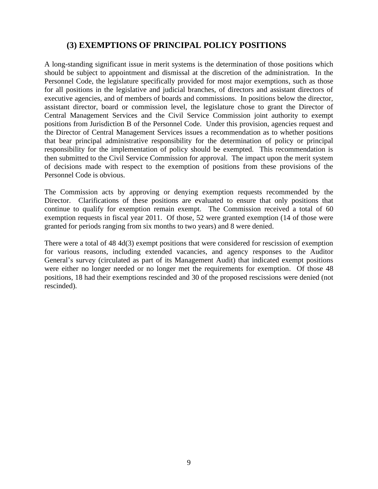### **(3) EXEMPTIONS OF PRINCIPAL POLICY POSITIONS**

A long-standing significant issue in merit systems is the determination of those positions which should be subject to appointment and dismissal at the discretion of the administration. In the Personnel Code, the legislature specifically provided for most major exemptions, such as those for all positions in the legislative and judicial branches, of directors and assistant directors of executive agencies, and of members of boards and commissions. In positions below the director, assistant director, board or commission level, the legislature chose to grant the Director of Central Management Services and the Civil Service Commission joint authority to exempt positions from Jurisdiction B of the Personnel Code. Under this provision, agencies request and the Director of Central Management Services issues a recommendation as to whether positions that bear principal administrative responsibility for the determination of policy or principal responsibility for the implementation of policy should be exempted. This recommendation is then submitted to the Civil Service Commission for approval. The impact upon the merit system of decisions made with respect to the exemption of positions from these provisions of the Personnel Code is obvious.

The Commission acts by approving or denying exemption requests recommended by the Director. Clarifications of these positions are evaluated to ensure that only positions that continue to qualify for exemption remain exempt. The Commission received a total of 60 exemption requests in fiscal year 2011. Of those, 52 were granted exemption (14 of those were granted for periods ranging from six months to two years) and 8 were denied.

There were a total of 48 4d(3) exempt positions that were considered for rescission of exemption for various reasons, including extended vacancies, and agency responses to the Auditor General's survey (circulated as part of its Management Audit) that indicated exempt positions were either no longer needed or no longer met the requirements for exemption. Of those 48 positions, 18 had their exemptions rescinded and 30 of the proposed rescissions were denied (not rescinded).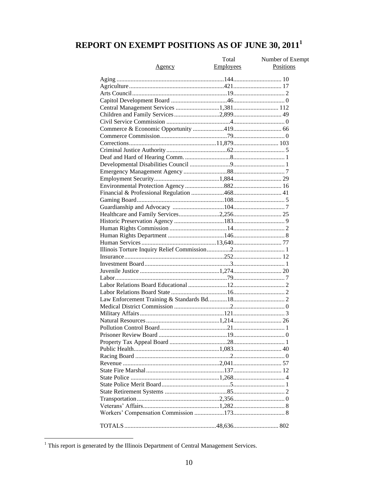## REPORT ON EXEMPT POSITIONS AS OF JUNE 30, 2011<sup>1</sup>

|               | Total            | Number of Exempt |
|---------------|------------------|------------------|
| <u>Agency</u> | <b>Employees</b> | Positions        |
|               |                  |                  |
|               |                  |                  |
|               |                  |                  |
|               |                  |                  |
|               |                  |                  |
|               |                  |                  |
|               |                  |                  |
|               |                  |                  |
|               |                  |                  |
|               |                  |                  |
|               |                  |                  |
|               |                  |                  |
|               |                  |                  |
|               |                  |                  |
|               |                  |                  |
|               |                  |                  |
|               |                  |                  |
|               |                  |                  |
|               |                  |                  |
|               |                  |                  |
|               |                  |                  |
|               |                  |                  |
|               |                  |                  |
|               |                  |                  |
|               |                  |                  |
|               |                  |                  |
|               |                  |                  |
|               |                  |                  |
|               |                  |                  |
|               |                  |                  |
|               |                  |                  |
|               |                  |                  |
|               |                  |                  |
|               |                  |                  |
|               |                  |                  |
|               |                  |                  |
|               |                  |                  |
|               |                  |                  |
|               |                  |                  |
|               |                  |                  |
|               |                  |                  |
|               |                  |                  |
|               |                  |                  |
|               |                  |                  |
|               |                  |                  |
|               |                  |                  |
|               |                  |                  |
|               |                  |                  |
|               |                  |                  |
|               |                  |                  |
|               |                  |                  |
|               |                  |                  |

<sup>&</sup>lt;sup>1</sup> This report is generated by the Illinois Department of Central Management Services.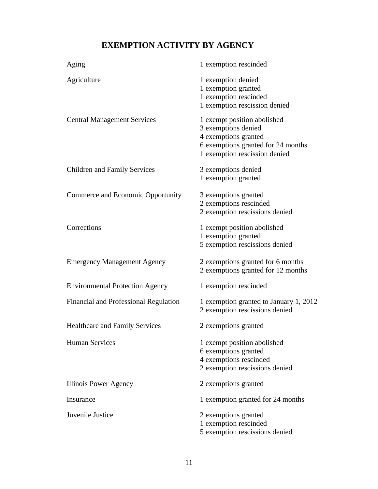## **EXEMPTION ACTIVITY BY AGENCY**

| Aging                                  | 1 exemption rescinded                                                                                                                             |
|----------------------------------------|---------------------------------------------------------------------------------------------------------------------------------------------------|
| Agriculture                            | 1 exemption denied<br>1 exemption granted<br>1 exemption rescinded<br>1 exemption rescission denied                                               |
| <b>Central Management Services</b>     | 1 exempt position abolished<br>3 exemptions denied<br>4 exemptions granted<br>6 exemptions granted for 24 months<br>1 exemption rescission denied |
| <b>Children and Family Services</b>    | 3 exemptions denied<br>1 exemption granted                                                                                                        |
| Commerce and Economic Opportunity      | 3 exemptions granted<br>2 exemptions rescinded<br>2 exemption rescissions denied                                                                  |
| Corrections                            | 1 exempt position abolished<br>1 exemption granted<br>5 exemption rescissions denied                                                              |
| <b>Emergency Management Agency</b>     | 2 exemptions granted for 6 months<br>2 exemptions granted for 12 months                                                                           |
| <b>Environmental Protection Agency</b> | 1 exemption rescinded                                                                                                                             |
| Financial and Professional Regulation  | 1 exemption granted to January 1, 2012<br>2 exemption rescissions denied                                                                          |
| Healthcare and Family Services         | 2 exemptions granted                                                                                                                              |
| <b>Human Services</b>                  | 1 exempt position abolished<br>6 exemptions granted<br>4 exemptions rescinded<br>2 exemption rescissions denied                                   |
| Illinois Power Agency                  | 2 exemptions granted                                                                                                                              |
| Insurance                              | 1 exemption granted for 24 months                                                                                                                 |
| Juvenile Justice                       | 2 exemptions granted<br>1 exemption rescinded<br>5 exemption rescissions denied                                                                   |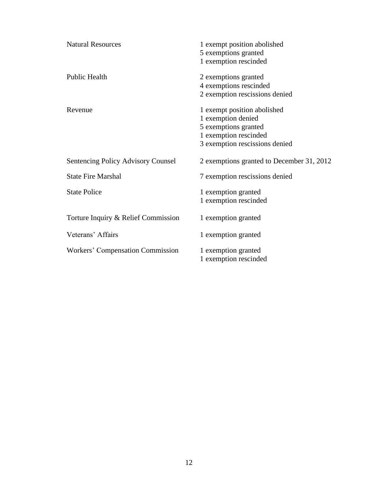| <b>Natural Resources</b>            | 1 exempt position abolished<br>5 exemptions granted<br>1 exemption rescinded                                                         |
|-------------------------------------|--------------------------------------------------------------------------------------------------------------------------------------|
| <b>Public Health</b>                | 2 exemptions granted<br>4 exemptions rescinded<br>2 exemption rescissions denied                                                     |
| Revenue                             | 1 exempt position abolished<br>1 exemption denied<br>5 exemptions granted<br>1 exemption rescinded<br>3 exemption rescissions denied |
| Sentencing Policy Advisory Counsel  | 2 exemptions granted to December 31, 2012                                                                                            |
| <b>State Fire Marshal</b>           | 7 exemption rescissions denied                                                                                                       |
| <b>State Police</b>                 | 1 exemption granted<br>1 exemption rescinded                                                                                         |
| Torture Inquiry & Relief Commission | 1 exemption granted                                                                                                                  |
| Veterans' Affairs                   | 1 exemption granted                                                                                                                  |
| Workers' Compensation Commission    | 1 exemption granted<br>1 exemption rescinded                                                                                         |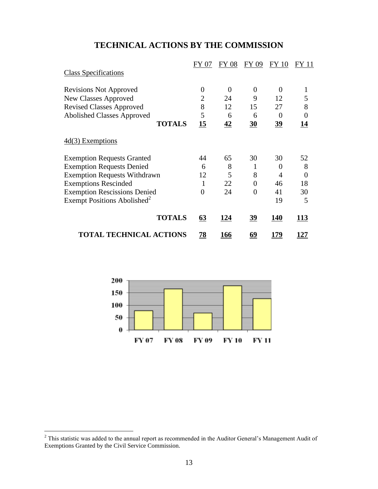## **TECHNICAL ACTIONS BY THE COMMISSION**

|                                         | FY 07          | <b>FY 08</b> | FY 09     | <b>FY 10</b> | FY 11          |
|-----------------------------------------|----------------|--------------|-----------|--------------|----------------|
| <b>Class Specifications</b>             |                |              |           |              |                |
| <b>Revisions Not Approved</b>           | $\overline{0}$ | $\Omega$     | 0         | $\Omega$     | 1              |
| <b>New Classes Approved</b>             | $\overline{2}$ | 24           | 9         | 12           | 5              |
| <b>Revised Classes Approved</b>         | 8              | 12           | 15        | 27           | 8              |
| <b>Abolished Classes Approved</b>       | 5              | 6            | 6         | $\Omega$     | $\overline{0}$ |
| <b>TOTALS</b>                           | <u>15</u>      | 42           | 30        | <u>39</u>    | 14             |
| $4d(3)$ Exemptions                      |                |              |           |              |                |
| <b>Exemption Requests Granted</b>       | 44             | 65           | 30        | 30           | 52             |
| <b>Exemption Requests Denied</b>        | 6              | 8            | 1         | $\Omega$     | 8              |
| <b>Exemption Requests Withdrawn</b>     | 12             | 5            | 8         | 4            | $\overline{0}$ |
| <b>Exemptions Rescinded</b>             | 1              | 22           | 0         | 46           | 18             |
| <b>Exemption Rescissions Denied</b>     | $\theta$       | 24           | 0         | 41           | 30             |
| Exempt Positions Abolished <sup>2</sup> |                |              |           | 19           | 5              |
| <b>TOTALS</b>                           | 63             | 124          | <u>39</u> | <b>140</b>   | 113            |
| <b>TOTAL TECHNICAL ACTIONS</b>          | <u>78</u>      | 166          | <u>69</u> | <u> 179</u>  | <u> 127</u>    |



 $\overline{a}$ 

 $2$  This statistic was added to the annual report as recommended in the Auditor General's Management Audit of Exemptions Granted by the Civil Service Commission.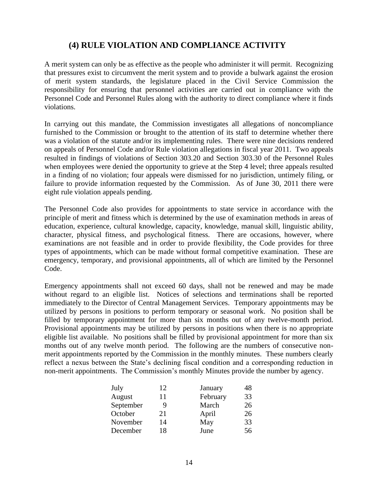## **(4) RULE VIOLATION AND COMPLIANCE ACTIVITY**

A merit system can only be as effective as the people who administer it will permit. Recognizing that pressures exist to circumvent the merit system and to provide a bulwark against the erosion of merit system standards, the legislature placed in the Civil Service Commission the responsibility for ensuring that personnel activities are carried out in compliance with the Personnel Code and Personnel Rules along with the authority to direct compliance where it finds violations.

In carrying out this mandate, the Commission investigates all allegations of noncompliance furnished to the Commission or brought to the attention of its staff to determine whether there was a violation of the statute and/or its implementing rules. There were nine decisions rendered on appeals of Personnel Code and/or Rule violation allegations in fiscal year 2011. Two appeals resulted in findings of violations of Section 303.20 and Section 303.30 of the Personnel Rules when employees were denied the opportunity to grieve at the Step 4 level; three appeals resulted in a finding of no violation; four appeals were dismissed for no jurisdiction, untimely filing, or failure to provide information requested by the Commission. As of June 30, 2011 there were eight rule violation appeals pending.

The Personnel Code also provides for appointments to state service in accordance with the principle of merit and fitness which is determined by the use of examination methods in areas of education, experience, cultural knowledge, capacity, knowledge, manual skill, linguistic ability, character, physical fitness, and psychological fitness. There are occasions, however, where examinations are not feasible and in order to provide flexibility, the Code provides for three types of appointments, which can be made without formal competitive examination. These are emergency, temporary, and provisional appointments, all of which are limited by the Personnel Code.

Emergency appointments shall not exceed 60 days, shall not be renewed and may be made without regard to an eligible list. Notices of selections and terminations shall be reported immediately to the Director of Central Management Services. Temporary appointments may be utilized by persons in positions to perform temporary or seasonal work. No position shall be filled by temporary appointment for more than six months out of any twelve-month period. Provisional appointments may be utilized by persons in positions when there is no appropriate eligible list available. No positions shall be filled by provisional appointment for more than six months out of any twelve month period. The following are the numbers of consecutive nonmerit appointments reported by the Commission in the monthly minutes. These numbers clearly reflect a nexus between the State's declining fiscal condition and a corresponding reduction in non-merit appointments. The Commission's monthly Minutes provide the number by agency.

| July      | 12 | January  | 48 |
|-----------|----|----------|----|
| August    | 11 | February | 33 |
| September | 9  | March    | 26 |
| October   | 21 | April    | 26 |
| November  | 14 | May      | 33 |
| December  | 18 | June     | 56 |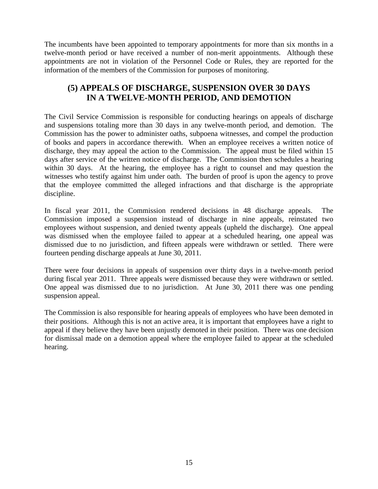The incumbents have been appointed to temporary appointments for more than six months in a twelve-month period or have received a number of non-merit appointments. Although these appointments are not in violation of the Personnel Code or Rules, they are reported for the information of the members of the Commission for purposes of monitoring.

## **(5) APPEALS OF DISCHARGE, SUSPENSION OVER 30 DAYS IN A TWELVE-MONTH PERIOD, AND DEMOTION**

The Civil Service Commission is responsible for conducting hearings on appeals of discharge and suspensions totaling more than 30 days in any twelve-month period, and demotion. The Commission has the power to administer oaths, subpoena witnesses, and compel the production of books and papers in accordance therewith. When an employee receives a written notice of discharge, they may appeal the action to the Commission. The appeal must be filed within 15 days after service of the written notice of discharge. The Commission then schedules a hearing within 30 days. At the hearing, the employee has a right to counsel and may question the witnesses who testify against him under oath. The burden of proof is upon the agency to prove that the employee committed the alleged infractions and that discharge is the appropriate discipline.

In fiscal year 2011, the Commission rendered decisions in 48 discharge appeals. The Commission imposed a suspension instead of discharge in nine appeals, reinstated two employees without suspension, and denied twenty appeals (upheld the discharge). One appeal was dismissed when the employee failed to appear at a scheduled hearing, one appeal was dismissed due to no jurisdiction, and fifteen appeals were withdrawn or settled. There were fourteen pending discharge appeals at June 30, 2011.

There were four decisions in appeals of suspension over thirty days in a twelve-month period during fiscal year 2011. Three appeals were dismissed because they were withdrawn or settled. One appeal was dismissed due to no jurisdiction. At June 30, 2011 there was one pending suspension appeal.

The Commission is also responsible for hearing appeals of employees who have been demoted in their positions. Although this is not an active area, it is important that employees have a right to appeal if they believe they have been unjustly demoted in their position. There was one decision for dismissal made on a demotion appeal where the employee failed to appear at the scheduled hearing.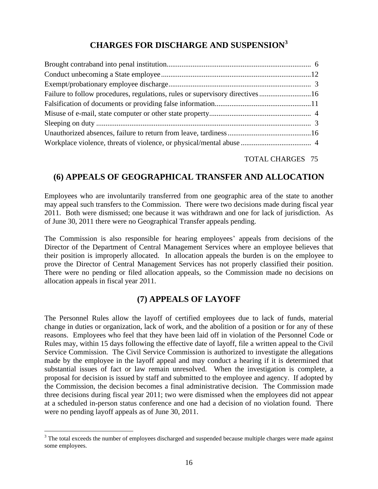## **CHARGES FOR DISCHARGE AND SUSPENSION<sup>3</sup>**

| Failure to follow procedures, regulations, rules or supervisory directives16 |  |
|------------------------------------------------------------------------------|--|
|                                                                              |  |
|                                                                              |  |
|                                                                              |  |
|                                                                              |  |
|                                                                              |  |
|                                                                              |  |

TOTAL CHARGES 75

## **(6) APPEALS OF GEOGRAPHICAL TRANSFER AND ALLOCATION**

Employees who are involuntarily transferred from one geographic area of the state to another may appeal such transfers to the Commission. There were two decisions made during fiscal year 2011. Both were dismissed; one because it was withdrawn and one for lack of jurisdiction. As of June 30, 2011 there were no Geographical Transfer appeals pending.

The Commission is also responsible for hearing employees' appeals from decisions of the Director of the Department of Central Management Services where an employee believes that their position is improperly allocated. In allocation appeals the burden is on the employee to prove the Director of Central Management Services has not properly classified their position. There were no pending or filed allocation appeals, so the Commission made no decisions on allocation appeals in fiscal year 2011.

### **(7) APPEALS OF LAYOFF**

The Personnel Rules allow the layoff of certified employees due to lack of funds, material change in duties or organization, lack of work, and the abolition of a position or for any of these reasons. Employees who feel that they have been laid off in violation of the Personnel Code or Rules may, within 15 days following the effective date of layoff, file a written appeal to the Civil Service Commission. The Civil Service Commission is authorized to investigate the allegations made by the employee in the layoff appeal and may conduct a hearing if it is determined that substantial issues of fact or law remain unresolved. When the investigation is complete, a proposal for decision is issued by staff and submitted to the employee and agency. If adopted by the Commission, the decision becomes a final administrative decision. The Commission made three decisions during fiscal year 2011; two were dismissed when the employees did not appear at a scheduled in-person status conference and one had a decision of no violation found. There were no pending layoff appeals as of June 30, 2011.

 $\overline{a}$ 

<sup>&</sup>lt;sup>3</sup> The total exceeds the number of employees discharged and suspended because multiple charges were made against some employees.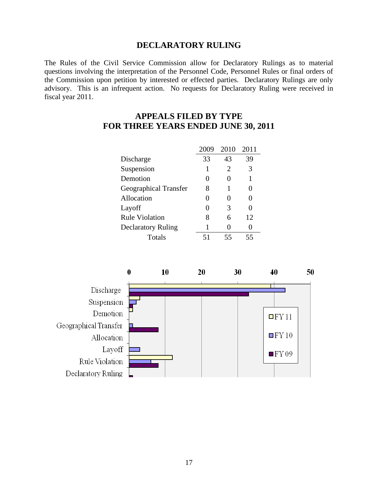#### **DECLARATORY RULING**

The Rules of the Civil Service Commission allow for Declaratory Rulings as to material questions involving the interpretation of the Personnel Code, Personnel Rules or final orders of the Commission upon petition by interested or effected parties. Declaratory Rulings are only advisory. This is an infrequent action. No requests for Declaratory Ruling were received in fiscal year 2011.

## **APPEALS FILED BY TYPE FOR THREE YEARS ENDED JUNE 30, 2011**

|                           |              | 2010 | 2011 |
|---------------------------|--------------|------|------|
| Discharge                 | 33           | 43   | 39   |
| Suspension                | 1            | 2    | 3    |
| Demotion                  | $\mathbf{0}$ |      | 1    |
| Geographical Transfer     | 8            | 1    | 0    |
| Allocation                | 0            |      |      |
| Layoff                    | 0            | 3    |      |
| <b>Rule Violation</b>     | 8            | 6    | 12   |
| <b>Declaratory Ruling</b> | 1            |      |      |
| Totals                    | 51           | 55   | 55   |

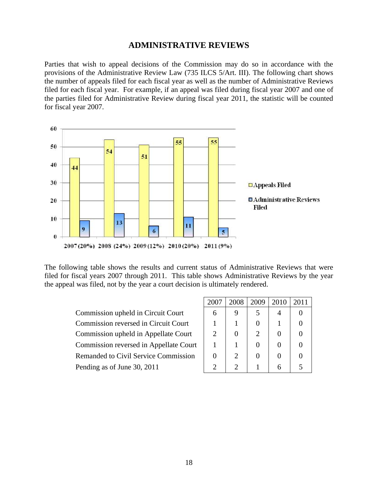#### **ADMINISTRATIVE REVIEWS**

Parties that wish to appeal decisions of the Commission may do so in accordance with the provisions of the Administrative Review Law (735 ILCS 5/Art. III). The following chart shows the number of appeals filed for each fiscal year as well as the number of Administrative Reviews filed for each fiscal year. For example, if an appeal was filed during fiscal year 2007 and one of the parties filed for Administrative Review during fiscal year 2011, the statistic will be counted for fiscal year 2007.



The following table shows the results and current status of Administrative Reviews that were filed for fiscal years 2007 through 2011. This table shows Administrative Reviews by the year the appeal was filed, not by the year a court decision is ultimately rendered.

> Commission upheld in Circuit Court Commission reversed in Circuit Court Commission upheld in Appellate Court Commission reversed in Appellate Court Remanded to Civil Service Commission Pending as of June 30,  $2011$

| 2007           | 2008           | 2009           | 2010           | 2011 |
|----------------|----------------|----------------|----------------|------|
| 6              | 9              | 5              |                | 0    |
| 1              |                | 0              |                | 0    |
| $\overline{2}$ | 0              | $\overline{2}$ | 0              | 0    |
| 1              |                | 0              | 0              | 0    |
| $\overline{0}$ | $\overline{2}$ | 0              | $\overline{0}$ | 0    |
| 2              | $\overline{2}$ |                | 6              | 5    |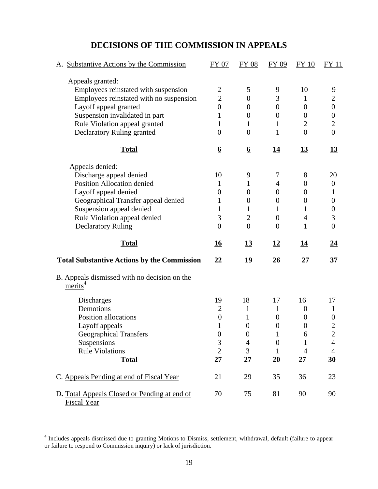## **DECISIONS OF THE COMMISSION IN APPEALS**

| A. Substantive Actions by the Commission                            | FY 07            | <b>FY 08</b>            | FY 09            | <b>FY 10</b>     | <b>FY 11</b>     |
|---------------------------------------------------------------------|------------------|-------------------------|------------------|------------------|------------------|
| Appeals granted:                                                    |                  |                         |                  |                  |                  |
| Employees reinstated with suspension                                | 2                | 5                       | 9                | 10               | 9                |
| Employees reinstated with no suspension                             | $\overline{2}$   | $\overline{0}$          | 3                | $\mathbf{1}$     | $\overline{2}$   |
| Layoff appeal granted                                               | $\overline{0}$   | $\overline{0}$          | $\boldsymbol{0}$ | $\boldsymbol{0}$ | $\overline{0}$   |
| Suspension invalidated in part                                      | 1                | $\theta$                | $\boldsymbol{0}$ | $\boldsymbol{0}$ | $\boldsymbol{0}$ |
| Rule Violation appeal granted                                       | 1                | 1                       | $\mathbf{1}$     | $\overline{2}$   | $\overline{2}$   |
| Declaratory Ruling granted                                          | $\overline{0}$   | $\boldsymbol{0}$        | 1                | $\overline{0}$   | $\overline{0}$   |
| <b>Total</b>                                                        | $6\overline{6}$  | $\overline{\mathbf{6}}$ | <u>14</u>        | 13               | 13               |
| Appeals denied:                                                     |                  |                         |                  |                  |                  |
| Discharge appeal denied                                             | 10               | 9                       | 7                | 8                | 20               |
| Position Allocation denied                                          | 1                | $\mathbf{1}$            | 4                | $\boldsymbol{0}$ | $\boldsymbol{0}$ |
| Layoff appeal denied                                                | $\theta$         | $\overline{0}$          | $\theta$         | $\boldsymbol{0}$ | 1                |
| Geographical Transfer appeal denied                                 | 1                | $\overline{0}$          | $\overline{0}$   | $\overline{0}$   | $\boldsymbol{0}$ |
| Suspension appeal denied                                            | 1                | $\mathbf{1}$            | 1                | 1                | $\boldsymbol{0}$ |
| Rule Violation appeal denied                                        | 3                | $\mathbf{2}$            | $\boldsymbol{0}$ | $\overline{4}$   | 3                |
| <b>Declaratory Ruling</b>                                           | $\overline{0}$   | $\overline{0}$          | $\overline{0}$   | 1                | $\overline{0}$   |
|                                                                     | <u>16</u>        | <u>13</u>               | 12               | <u> 14</u>       | <u>24</u>        |
| <b>Total</b>                                                        |                  |                         |                  |                  |                  |
| <b>Total Substantive Actions by the Commission</b>                  | 22               | 19                      | 26               | 27               | 37               |
| B. Appeals dismissed with no decision on the<br>merits <sup>4</sup> |                  |                         |                  |                  |                  |
| <b>Discharges</b>                                                   | 19               | 18                      | 17               | 16               | 17               |
| Demotions                                                           | $\overline{2}$   | $\mathbf{1}$            | 1                | $\boldsymbol{0}$ | $\mathbf{1}$     |
| Position allocations                                                | $\overline{0}$   | $\mathbf{1}$            | $\boldsymbol{0}$ | $\boldsymbol{0}$ | $\boldsymbol{0}$ |
|                                                                     | 1                | $\overline{0}$          | $\overline{0}$   | $\boldsymbol{0}$ | $\overline{c}$   |
| Layoff appeals                                                      | $\boldsymbol{0}$ | $\boldsymbol{0}$        |                  | 6                | $\overline{2}$   |
| <b>Geographical Transfers</b><br>Suspensions                        | 3                | 4                       | $\boldsymbol{0}$ | $\mathbf{1}$     | 4                |
| <b>Rule Violations</b>                                              | $\overline{2}$   | 3                       | 1                | $\overline{4}$   | $\overline{4}$   |
| <b>Total</b>                                                        | 27               | 27                      | 20               | 27               | 30               |
| C. Appeals Pending at end of Fiscal Year                            | 21               | 29                      | 35               | 36               | 23               |

 4 Includes appeals dismissed due to granting Motions to Dismiss, settlement, withdrawal, default (failure to appear or failure to respond to Commission inquiry) or lack of jurisdiction.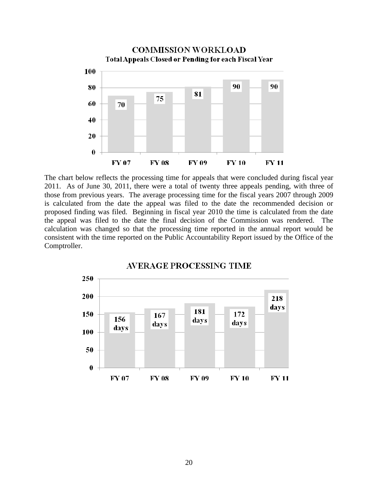

The chart below reflects the processing time for appeals that were concluded during fiscal year 2011. As of June 30, 2011, there were a total of twenty three appeals pending, with three of those from previous years. The average processing time for the fiscal years 2007 through 2009 is calculated from the date the appeal was filed to the date the recommended decision or proposed finding was filed. Beginning in fiscal year 2010 the time is calculated from the date the appeal was filed to the date the final decision of the Commission was rendered. The calculation was changed so that the processing time reported in the annual report would be consistent with the time reported on the Public Accountability Report issued by the Office of the Comptroller.



#### **AVERAGE PROCESSING TIME**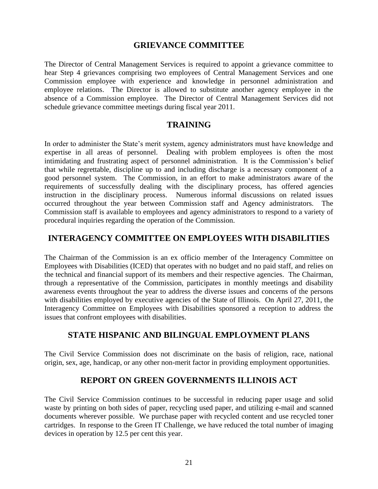#### **GRIEVANCE COMMITTEE**

The Director of Central Management Services is required to appoint a grievance committee to hear Step 4 grievances comprising two employees of Central Management Services and one Commission employee with experience and knowledge in personnel administration and employee relations. The Director is allowed to substitute another agency employee in the absence of a Commission employee. The Director of Central Management Services did not schedule grievance committee meetings during fiscal year 2011.

#### **TRAINING**

In order to administer the State's merit system, agency administrators must have knowledge and expertise in all areas of personnel. Dealing with problem employees is often the most intimidating and frustrating aspect of personnel administration. It is the Commission's belief that while regrettable, discipline up to and including discharge is a necessary component of a good personnel system. The Commission, in an effort to make administrators aware of the requirements of successfully dealing with the disciplinary process, has offered agencies instruction in the disciplinary process. Numerous informal discussions on related issues occurred throughout the year between Commission staff and Agency administrators. The Commission staff is available to employees and agency administrators to respond to a variety of procedural inquiries regarding the operation of the Commission.

#### **INTERAGENCY COMMITTEE ON EMPLOYEES WITH DISABILITIES**

The Chairman of the Commission is an ex officio member of the Interagency Committee on Employees with Disabilities (ICED) that operates with no budget and no paid staff, and relies on the technical and financial support of its members and their respective agencies. The Chairman, through a representative of the Commission, participates in monthly meetings and disability awareness events throughout the year to address the diverse issues and concerns of the persons with disabilities employed by executive agencies of the State of Illinois. On April 27, 2011, the Interagency Committee on Employees with Disabilities sponsored a reception to address the issues that confront employees with disabilities.

### **STATE HISPANIC AND BILINGUAL EMPLOYMENT PLANS**

The Civil Service Commission does not discriminate on the basis of religion, race, national origin, sex, age, handicap, or any other non-merit factor in providing employment opportunities.

#### **REPORT ON GREEN GOVERNMENTS ILLINOIS ACT**

The Civil Service Commission continues to be successful in reducing paper usage and solid waste by printing on both sides of paper, recycling used paper, and utilizing e-mail and scanned documents wherever possible. We purchase paper with recycled content and use recycled toner cartridges. In response to the Green IT Challenge, we have reduced the total number of imaging devices in operation by 12.5 per cent this year.